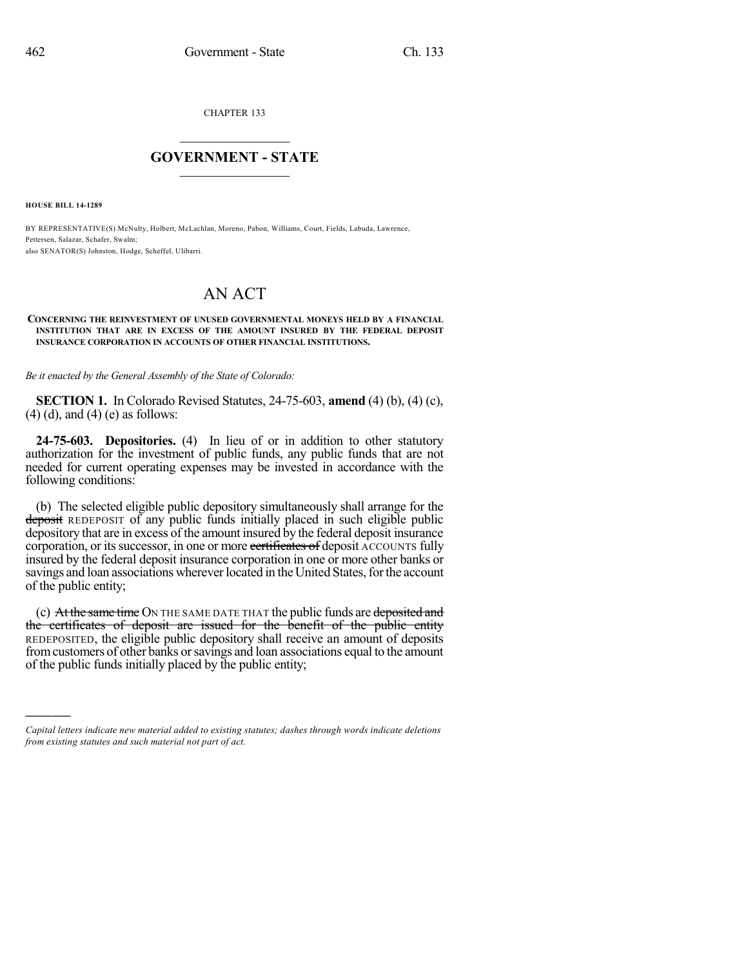CHAPTER 133

## $\overline{\phantom{a}}$  . The set of the set of the set of the set of the set of the set of the set of the set of the set of the set of the set of the set of the set of the set of the set of the set of the set of the set of the set o **GOVERNMENT - STATE**  $\_$

**HOUSE BILL 14-1289**

)))))

BY REPRESENTATIVE(S) McNulty, Holbert, McLachlan, Moreno, Pabon, Williams, Court, Fields, Labuda, Lawrence, Pettersen, Salazar, Schafer, Swalm; also SENATOR(S) Johnston, Hodge, Scheffel, Ulibarri.

## AN ACT

## **CONCERNING THE REINVESTMENT OF UNUSED GOVERNMENTAL MONEYS HELD BY A FINANCIAL INSTITUTION THAT ARE IN EXCESS OF THE AMOUNT INSURED BY THE FEDERAL DEPOSIT INSURANCE CORPORATION IN ACCOUNTS OF OTHER FINANCIAL INSTITUTIONS.**

*Be it enacted by the General Assembly of the State of Colorado:*

**SECTION 1.** In Colorado Revised Statutes, 24-75-603, **amend** (4) (b), (4) (c),  $(4)$  (d), and  $(4)$  (e) as follows:

**24-75-603. Depositories.** (4) In lieu of or in addition to other statutory authorization for the investment of public funds, any public funds that are not needed for current operating expenses may be invested in accordance with the following conditions:

(b) The selected eligible public depository simultaneously shall arrange for the deposit REDEPOSIT of any public funds initially placed in such eligible public depository that are in excess of the amount insured by the federal deposit insurance corporation, or its successor, in one or more certificates of deposit ACCOUNTS fully insured by the federal deposit insurance corporation in one or more other banks or savings and loan associations wherever located in the United States, for the account of the public entity;

(c) At the same time ON THE SAME DATE THAT the public funds are deposited and the certificates of deposit are issued for the benefit of the public entity REDEPOSITED, the eligible public depository shall receive an amount of deposits from customers of other banks or savings and loan associations equal to the amount of the public funds initially placed by the public entity;

*Capital letters indicate new material added to existing statutes; dashes through words indicate deletions from existing statutes and such material not part of act.*